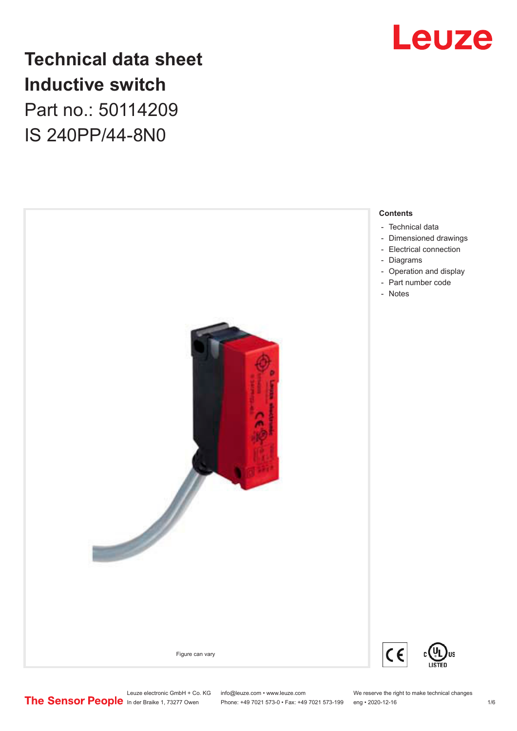

## **Technical data sheet Inductive switch** Part no.: 50114209

IS 240PP/44-8N0



Phone: +49 7021 573-0 • Fax: +49 7021 573-199 eng • 2020-12-16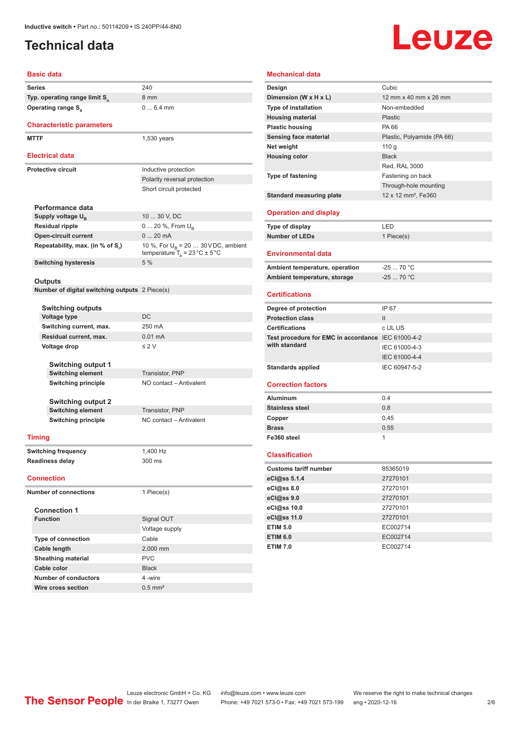### <span id="page-1-0"></span>**Technical data**

# Leuze

### **Basic data Series** 240 **Typ. operating range limit S<sup>n</sup>** 8 mm **Operating range S<sub>a</sub>** 0 ... 6.4 mm **Characteristic parameters MTTF** 1,530 years **Electrical data Protective circuit** Inductive protection Polarity reversal protection Short circuit protected **Performance data** Supply voltage U<sub>B</sub> 10 ... 30 V, DC **Residual ripple** 0 ... 20 %, From U<sub>B</sub> **Open-circuit current** 0 ... 20 mA **Repeatability, max. (in % of S<sup>r</sup> )** 10 %, For U<sub>B</sub> = 20 ... 30 V DC, ambient temperature  $T_{\rm a}$  = 23 °C  $\pm$  5 °C **Switching hysteresis** 5 % **Outputs Number of digital switching outputs** 2 Piece(s) **Switching outputs Voltage type** DC **Switching current, max.** 250 mA **Residual current, max.** 0.01 mA **Voltage drop** ≤ 2 V **Switching output 1 Switching element** Transistor, PNP **Switching principle** NO contact – Antivalent **Switching output 2 Switching element** Transistor, PNP **Switching principle** NC contact – Antivalent **Timing Switching frequency** 1,400 Hz **Readiness delay** 300 ms **Connection Number of connections** 1 Piece(s) **Connection 1 Signal OUT** Voltage supply **Type of connection** Cable **Cable length** 2,000 mm **Sheathing material** PVC **Cable color** Black **Number of conductors** 4 -wire

| Mechanical data                                    |                                 |
|----------------------------------------------------|---------------------------------|
| Design                                             | Cubic                           |
| Dimension (W x H x L)                              | 12 mm x 40 mm x 26 mm           |
| <b>Type of installation</b>                        | Non-embedded                    |
| <b>Housing material</b>                            | Plastic                         |
| <b>Plastic housing</b>                             | PA 66                           |
| Sensing face material                              | Plastic, Polyamide (PA 66)      |
| Net weight                                         | 110g                            |
| <b>Housing color</b>                               | <b>Black</b>                    |
|                                                    | Red, RAL 3000                   |
| <b>Type of fastening</b>                           | Fastening on back               |
|                                                    | Through-hole mounting           |
| <b>Standard measuring plate</b>                    | 12 x 12 mm <sup>2</sup> , Fe360 |
| <b>Operation and display</b>                       |                                 |
| Type of display                                    | LED                             |
| <b>Number of LEDs</b>                              | 1 Piece(s)                      |
| <b>Environmental data</b>                          |                                 |
| Ambient temperature, operation                     | $-2570 °C$                      |
| Ambient temperature, storage                       | $-2570 °C$                      |
| <b>Certifications</b>                              |                                 |
| Degree of protection                               | IP 67                           |
| <b>Protection class</b>                            | $\mathbf{H}$                    |
| <b>Certifications</b>                              | c UL US                         |
| Test procedure for EMC in accordance IEC 61000-4-2 |                                 |
| with standard                                      | IEC 61000-4-3                   |
|                                                    | IEC 61000-4-4                   |
| <b>Standards applied</b>                           | IEC 60947-5-2                   |
| <b>Correction factors</b>                          |                                 |
| Aluminum                                           | 0.4                             |
| <b>Stainless steel</b>                             | 0.8                             |
| Copper                                             | 0.45                            |
| <b>Brass</b>                                       | 0.55                            |
| Fe360 steel                                        | 1                               |
| <b>Classification</b>                              |                                 |
| <b>Customs tariff number</b>                       | 85365019                        |
| eCl@ss 5.1.4                                       | 27270101                        |
| eCl@ss 8.0                                         | 27270101                        |
| eCl@ss 9.0                                         | 27270101                        |
| eCl@ss 10.0                                        | 27270101                        |
| eCl@ss 11.0                                        | 27270101                        |
| <b>ETIM 5.0</b>                                    | EC002714                        |
| <b>ETIM 6.0</b>                                    | EC002714                        |
| <b>ETIM 7.0</b>                                    | EC002714                        |

Leuze electronic GmbH + Co. KG info@leuze.com • www.leuze.com We reserve the right to make technical changes<br>
The Sensor People in der Braike 1, 73277 Owen Phone: +49 7021 573-0 • Fax: +49 7021 573-199 eng • 2020-12-16

**Wire cross section** 0.5 mm<sup>2</sup>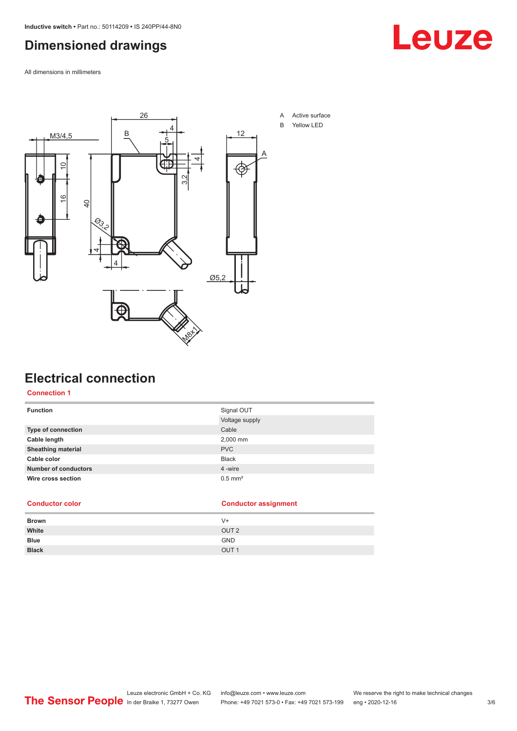### <span id="page-2-0"></span>**Dimensioned drawings**

All dimensions in millimeters



### **Electrical connection**

### **Connection 1**

| <b>Function</b>             | Signal OUT            |
|-----------------------------|-----------------------|
|                             | Voltage supply        |
| Type of connection          | Cable                 |
| Cable length                | 2,000 mm              |
| <b>Sheathing material</b>   | <b>PVC</b>            |
| Cable color                 | <b>Black</b>          |
| <b>Number of conductors</b> | 4 -wire               |
| Wire cross section          | $0.5$ mm <sup>2</sup> |
|                             |                       |

### **Conductor color Conductor assignment**

| <b>Brown</b> | $V +$            |
|--------------|------------------|
| White        | OUT <sub>2</sub> |
| <b>Blue</b>  | <b>GND</b>       |
| <b>Black</b> | OUT <sub>1</sub> |

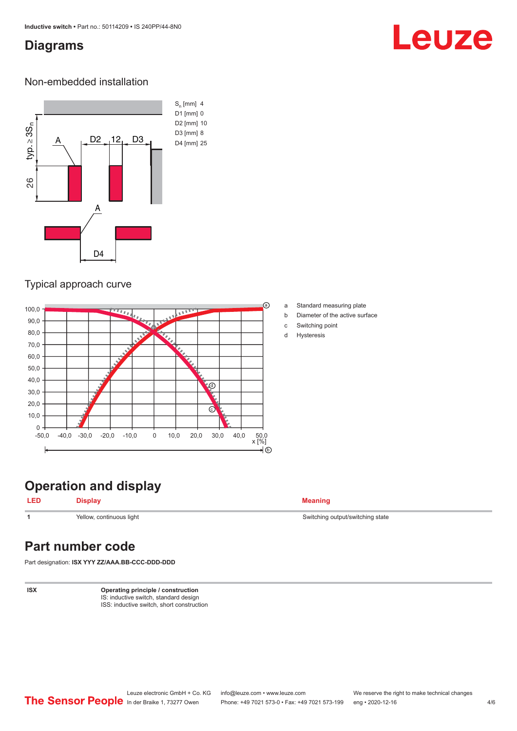### <span id="page-3-0"></span>**Diagrams**

## Leuze

### Non-embedded installation



### Typical approach curve



**Operation and display**

**LED Display Meaning**

**1** Yellow, continuous light Switching state Switching output/switching state

### **Part number code**

Part designation: **ISX YYY ZZ/AAA.BB-CCC-DDD-DDD**

**ISX Operating principle / construction** IS: inductive switch, standard design ISS: inductive switch, short construction

- a Standard measuring plate
- b Diameter of the active surface
- c Switching point
- d Hysteresis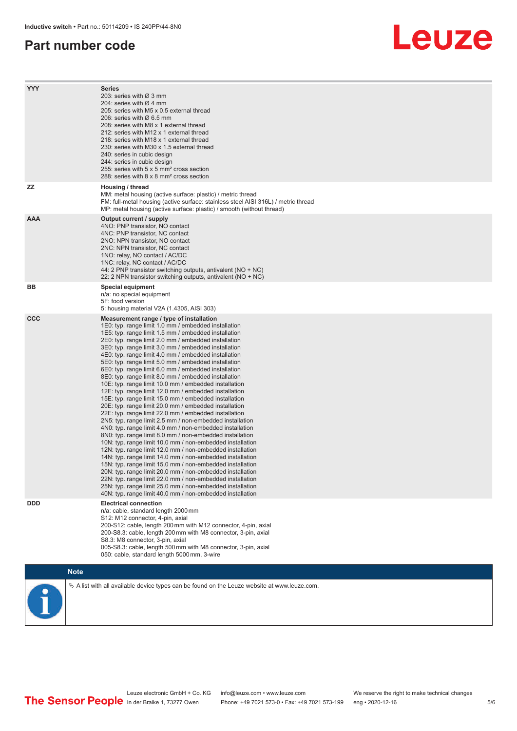### **Part number code**

## Leuze

| <b>YYY</b>  | Series<br>203: series with Ø 3 mm<br>204: series with $\varnothing$ 4 mm<br>205: series with M5 x 0.5 external thread<br>206: series with Ø 6.5 mm<br>208: series with M8 x 1 external thread<br>212: series with M12 x 1 external thread<br>218: series with M18 x 1 external thread<br>230: series with M30 x 1.5 external thread<br>240: series in cubic design<br>244: series in cubic design<br>255: series with 5 x 5 mm <sup>2</sup> cross section<br>288: series with 8 x 8 mm <sup>2</sup> cross section                                                                                                                                                                                                                                                                                                                                                                                                                                                                                                                                                                                                                                                                                                                                                                                                                                                                                                                                                                                 |
|-------------|---------------------------------------------------------------------------------------------------------------------------------------------------------------------------------------------------------------------------------------------------------------------------------------------------------------------------------------------------------------------------------------------------------------------------------------------------------------------------------------------------------------------------------------------------------------------------------------------------------------------------------------------------------------------------------------------------------------------------------------------------------------------------------------------------------------------------------------------------------------------------------------------------------------------------------------------------------------------------------------------------------------------------------------------------------------------------------------------------------------------------------------------------------------------------------------------------------------------------------------------------------------------------------------------------------------------------------------------------------------------------------------------------------------------------------------------------------------------------------------------------|
| <b>ZZ</b>   | Housing / thread<br>MM: metal housing (active surface: plastic) / metric thread<br>FM: full-metal housing (active surface: stainless steel AISI 316L) / metric thread<br>MP: metal housing (active surface: plastic) / smooth (without thread)                                                                                                                                                                                                                                                                                                                                                                                                                                                                                                                                                                                                                                                                                                                                                                                                                                                                                                                                                                                                                                                                                                                                                                                                                                                    |
| <b>AAA</b>  | Output current / supply<br>4NO: PNP transistor, NO contact<br>4NC: PNP transistor, NC contact<br>2NO: NPN transistor, NO contact<br>2NC: NPN transistor, NC contact<br>1NO: relay, NO contact / AC/DC<br>1NC: relay, NC contact / AC/DC<br>44: 2 PNP transistor switching outputs, antivalent (NO + NC)<br>22: 2 NPN transistor switching outputs, antivalent (NO + NC)                                                                                                                                                                                                                                                                                                                                                                                                                                                                                                                                                                                                                                                                                                                                                                                                                                                                                                                                                                                                                                                                                                                           |
| BВ          | <b>Special equipment</b><br>n/a: no special equipment<br>5F: food version<br>5: housing material V2A (1.4305, AISI 303)                                                                                                                                                                                                                                                                                                                                                                                                                                                                                                                                                                                                                                                                                                                                                                                                                                                                                                                                                                                                                                                                                                                                                                                                                                                                                                                                                                           |
| <b>CCC</b>  | Measurement range / type of installation<br>1E0: typ. range limit 1.0 mm / embedded installation<br>1E5: typ. range limit 1.5 mm / embedded installation<br>2E0: typ. range limit 2.0 mm / embedded installation<br>3E0: typ. range limit 3.0 mm / embedded installation<br>4E0: typ. range limit 4.0 mm / embedded installation<br>5E0: typ. range limit 5.0 mm / embedded installation<br>6E0: typ. range limit 6.0 mm / embedded installation<br>8E0: typ. range limit 8.0 mm / embedded installation<br>10E: typ. range limit 10.0 mm / embedded installation<br>12E: typ. range limit 12.0 mm / embedded installation<br>15E: typ. range limit 15.0 mm / embedded installation<br>20E: typ. range limit 20.0 mm / embedded installation<br>22E: typ. range limit 22.0 mm / embedded installation<br>2N5: typ. range limit 2.5 mm / non-embedded installation<br>4N0: typ. range limit 4.0 mm / non-embedded installation<br>8N0: typ. range limit 8.0 mm / non-embedded installation<br>10N: typ. range limit 10.0 mm / non-embedded installation<br>12N: typ. range limit 12.0 mm / non-embedded installation<br>14N: typ. range limit 14.0 mm / non-embedded installation<br>15N: typ. range limit 15.0 mm / non-embedded installation<br>20N: typ. range limit 20.0 mm / non-embedded installation<br>22N: typ. range limit 22.0 mm / non-embedded installation<br>25N: typ. range limit 25.0 mm / non-embedded installation<br>40N: typ. range limit 40.0 mm / non-embedded installation |
| <b>DDD</b>  | <b>Electrical connection</b><br>n/a: cable, standard length 2000 mm<br>S12: M12 connector, 4-pin, axial<br>200-S12: cable, length 200 mm with M12 connector, 4-pin, axial<br>200-S8.3: cable, length 200 mm with M8 connector, 3-pin, axial<br>S8.3: M8 connector, 3-pin, axial<br>005-S8.3: cable, length 500 mm with M8 connector, 3-pin, axial<br>050: cable, standard length 5000 mm, 3-wire                                                                                                                                                                                                                                                                                                                                                                                                                                                                                                                                                                                                                                                                                                                                                                                                                                                                                                                                                                                                                                                                                                  |
| <b>Note</b> |                                                                                                                                                                                                                                                                                                                                                                                                                                                                                                                                                                                                                                                                                                                                                                                                                                                                                                                                                                                                                                                                                                                                                                                                                                                                                                                                                                                                                                                                                                   |



A list with all available device types can be found on the Leuze website at www.leuze.com.

5 /6